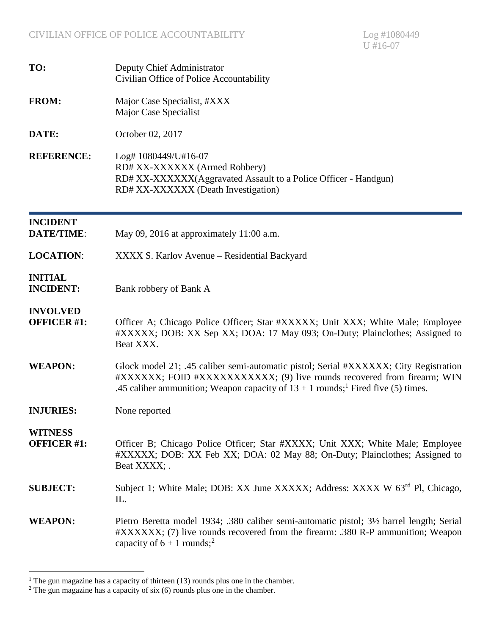| TO:                                   | Deputy Chief Administrator<br>Civilian Office of Police Accountability                                                                                                                                                                                            |
|---------------------------------------|-------------------------------------------------------------------------------------------------------------------------------------------------------------------------------------------------------------------------------------------------------------------|
| <b>FROM:</b>                          | Major Case Specialist, #XXX<br>Major Case Specialist                                                                                                                                                                                                              |
| DATE:                                 | October 02, 2017                                                                                                                                                                                                                                                  |
| <b>REFERENCE:</b>                     | Log# 1080449/U#16-07<br>RD# XX-XXXXXX (Armed Robbery)<br>RD# XX-XXXXXX(Aggravated Assault to a Police Officer - Handgun)<br>RD# XX-XXXXXX (Death Investigation)                                                                                                   |
| <b>INCIDENT</b><br><b>DATE/TIME:</b>  | May 09, 2016 at approximately 11:00 a.m.                                                                                                                                                                                                                          |
| <b>LOCATION:</b>                      | XXXX S. Karlov Avenue – Residential Backyard                                                                                                                                                                                                                      |
| <b>INITIAL</b><br><b>INCIDENT:</b>    | Bank robbery of Bank A                                                                                                                                                                                                                                            |
| <b>INVOLVED</b><br><b>OFFICER #1:</b> | Officer A; Chicago Police Officer; Star #XXXXX; Unit XXX; White Male; Employee<br>#XXXXX; DOB: XX Sep XX; DOA: 17 May 093; On-Duty; Plainclothes; Assigned to<br>Beat XXX.                                                                                        |
| <b>WEAPON:</b>                        | Glock model 21; .45 caliber semi-automatic pistol; Serial #XXXXXX; City Registration<br>#XXXXXX: FOID #XXXXXXXXXXX, (9) live rounds recovered from firearm; WIN<br>.45 caliber ammunition; Weapon capacity of $13 + 1$ rounds; <sup>1</sup> Fired five (5) times. |
| <b>INJURIES:</b>                      | None reported                                                                                                                                                                                                                                                     |
| <b>WITNESS</b><br><b>OFFICER #1:</b>  | Officer B; Chicago Police Officer; Star #XXXX; Unit XXX; White Male; Employee<br>#XXXXX; DOB: XX Feb XX; DOA: 02 May 88; On-Duty; Plainclothes; Assigned to<br>Beat XXXX; .                                                                                       |
| <b>SUBJECT:</b>                       | Subject 1; White Male; DOB: XX June XXXXX; Address: XXXX W 63 <sup>rd</sup> Pl, Chicago,<br>IL.                                                                                                                                                                   |
| <b>WEAPON:</b>                        | Pietro Beretta model 1934; .380 caliber semi-automatic pistol; 3½ barrel length; Serial<br>#XXXXXX; (7) live rounds recovered from the firearm: .380 R-P ammunition; Weapon<br>capacity of $6 + 1$ rounds; <sup>2</sup>                                           |

<span id="page-0-1"></span><span id="page-0-0"></span><sup>&</sup>lt;sup>1</sup> The gun magazine has a capacity of thirteen (13) rounds plus one in the chamber.

 $2^2$  The gun magazine has a capacity of six (6) rounds plus one in the chamber.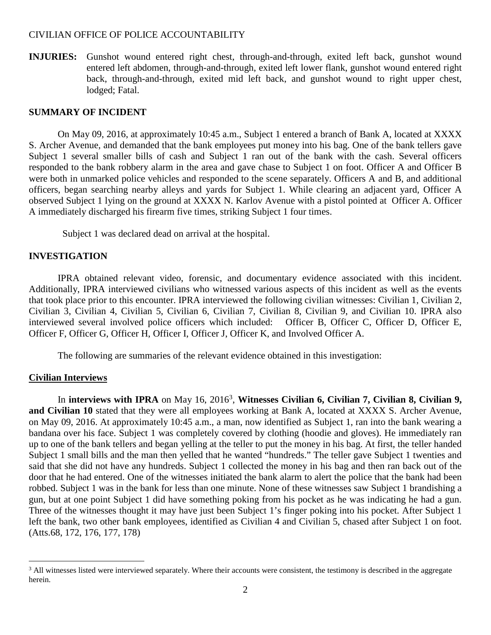**INJURIES:** Gunshot wound entered right chest, through-and-through, exited left back, gunshot wound entered left abdomen, through-and-through, exited left lower flank, gunshot wound entered right back, through-and-through, exited mid left back, and gunshot wound to right upper chest, lodged; Fatal.

# **SUMMARY OF INCIDENT**

On May 09, 2016, at approximately 10:45 a.m., Subject 1 entered a branch of Bank A, located at XXXX S. Archer Avenue, and demanded that the bank employees put money into his bag. One of the bank tellers gave Subject 1 several smaller bills of cash and Subject 1 ran out of the bank with the cash. Several officers responded to the bank robbery alarm in the area and gave chase to Subject 1 on foot. Officer A and Officer B were both in unmarked police vehicles and responded to the scene separately. Officers A and B, and additional officers, began searching nearby alleys and yards for Subject 1. While clearing an adjacent yard, Officer A observed Subject 1 lying on the ground at XXXX N. Karlov Avenue with a pistol pointed at Officer A. Officer A immediately discharged his firearm five times, striking Subject 1 four times.

Subject 1 was declared dead on arrival at the hospital.

### **INVESTIGATION**

IPRA obtained relevant video, forensic, and documentary evidence associated with this incident. Additionally, IPRA interviewed civilians who witnessed various aspects of this incident as well as the events that took place prior to this encounter. IPRA interviewed the following civilian witnesses: Civilian 1, Civilian 2, Civilian 3, Civilian 4, Civilian 5, Civilian 6, Civilian 7, Civilian 8, Civilian 9, and Civilian 10. IPRA also interviewed several involved police officers which included: Officer B, Officer C, Officer D, Officer E, Officer F, Officer G, Officer H, Officer I, Officer J, Officer K, and Involved Officer A.

The following are summaries of the relevant evidence obtained in this investigation:

#### **Civilian Interviews**

In **interviews with IPRA** on May 16,2016<sup>3</sup> , **Witnesses Civilian 6, Civilian 7, Civilian 8, Civilian 9, and Civilian 10** stated that they were all employees working at Bank A, located at XXXX S. Archer Avenue, on May 09, 2016. At approximately 10:45 a.m., a man, now identified as Subject 1, ran into the bank wearing a bandana over his face. Subject 1 was completely covered by clothing (hoodie and gloves). He immediately ran up to one of the bank tellers and began yelling at the teller to put the money in his bag. At first, the teller handed Subject 1 small bills and the man then yelled that he wanted "hundreds." The teller gave Subject 1 twenties and said that she did not have any hundreds. Subject 1 collected the money in his bag and then ran back out of the door that he had entered. One of the witnesses initiated the bank alarm to alert the police that the bank had been robbed. Subject 1 was in the bank for less than one minute. None of these witnesses saw Subject 1 brandishing a gun, but at one point Subject 1 did have something poking from his pocket as he was indicating he had a gun. Three of the witnesses thought it may have just been Subject 1's finger poking into his pocket. After Subject 1 left the bank, two other bank employees, identified as Civilian 4 and Civilian 5, chased after Subject 1 on foot. (Atts.68, 172, 176, 177, 178)

<span id="page-1-0"></span><sup>&</sup>lt;sup>3</sup> All witnesses listed were interviewed separately. Where their accounts were consistent, the testimony is described in the aggregate herein.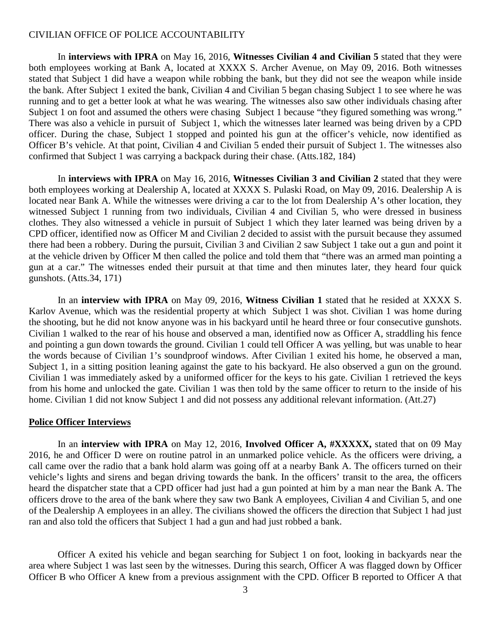In **interviews with IPRA** on May 16, 2016, **Witnesses Civilian 4 and Civilian 5** stated that they were both employees working at Bank A, located at XXXX S. Archer Avenue, on May 09, 2016. Both witnesses stated that Subject 1 did have a weapon while robbing the bank, but they did not see the weapon while inside the bank. After Subject 1 exited the bank, Civilian 4 and Civilian 5 began chasing Subject 1 to see where he was running and to get a better look at what he was wearing. The witnesses also saw other individuals chasing after Subject 1 on foot and assumed the others were chasing Subject 1 because "they figured something was wrong." There was also a vehicle in pursuit of Subject 1, which the witnesses later learned was being driven by a CPD officer. During the chase, Subject 1 stopped and pointed his gun at the officer's vehicle, now identified as Officer B's vehicle. At that point, Civilian 4 and Civilian 5 ended their pursuit of Subject 1. The witnesses also confirmed that Subject 1 was carrying a backpack during their chase. (Atts.182, 184)

In **interviews with IPRA** on May 16, 2016, **Witnesses Civilian 3 and Civilian 2** stated that they were both employees working at Dealership A, located at XXXX S. Pulaski Road, on May 09, 2016. Dealership A is located near Bank A. While the witnesses were driving a car to the lot from Dealership A's other location, they witnessed Subject 1 running from two individuals, Civilian 4 and Civilian 5, who were dressed in business clothes. They also witnessed a vehicle in pursuit of Subject 1 which they later learned was being driven by a CPD officer, identified now as Officer M and Civilian 2 decided to assist with the pursuit because they assumed there had been a robbery. During the pursuit, Civilian 3 and Civilian 2 saw Subject 1 take out a gun and point it at the vehicle driven by Officer M then called the police and told them that "there was an armed man pointing a gun at a car." The witnesses ended their pursuit at that time and then minutes later, they heard four quick gunshots. (Atts.34, 171)

In an **interview with IPRA** on May 09, 2016, **Witness Civilian 1** stated that he resided at XXXX S. Karlov Avenue, which was the residential property at which Subject 1 was shot. Civilian 1 was home during the shooting, but he did not know anyone was in his backyard until he heard three or four consecutive gunshots. Civilian 1 walked to the rear of his house and observed a man, identified now as Officer A, straddling his fence and pointing a gun down towards the ground. Civilian 1 could tell Officer A was yelling, but was unable to hear the words because of Civilian 1's soundproof windows. After Civilian 1 exited his home, he observed a man, Subject 1, in a sitting position leaning against the gate to his backyard. He also observed a gun on the ground. Civilian 1 was immediately asked by a uniformed officer for the keys to his gate. Civilian 1 retrieved the keys from his home and unlocked the gate. Civilian 1 was then told by the same officer to return to the inside of his home. Civilian 1 did not know Subject 1 and did not possess any additional relevant information. (Att.27)

#### **Police Officer Interviews**

In an **interview with IPRA** on May 12, 2016, **Involved Officer A, #XXXXX,** stated that on 09 May 2016, he and Officer D were on routine patrol in an unmarked police vehicle. As the officers were driving, a call came over the radio that a bank hold alarm was going off at a nearby Bank A. The officers turned on their vehicle's lights and sirens and began driving towards the bank. In the officers' transit to the area, the officers heard the dispatcher state that a CPD officer had just had a gun pointed at him by a man near the Bank A. The officers drove to the area of the bank where they saw two Bank A employees, Civilian 4 and Civilian 5, and one of the Dealership A employees in an alley. The civilians showed the officers the direction that Subject 1 had just ran and also told the officers that Subject 1 had a gun and had just robbed a bank.

Officer A exited his vehicle and began searching for Subject 1 on foot, looking in backyards near the area where Subject 1 was last seen by the witnesses. During this search, Officer A was flagged down by Officer Officer B who Officer A knew from a previous assignment with the CPD. Officer B reported to Officer A that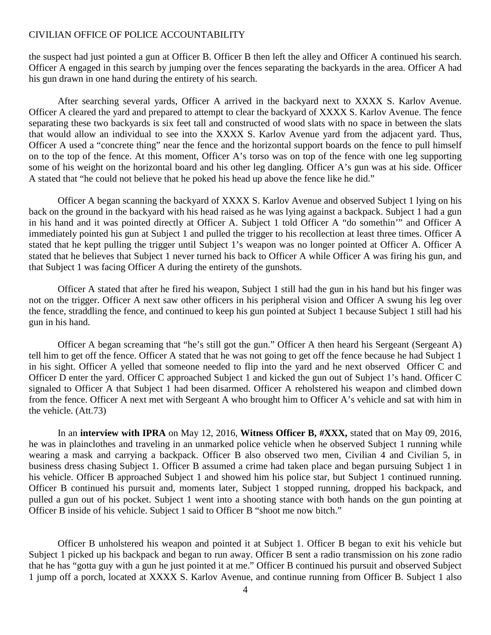the suspect had just pointed a gun at Officer B. Officer B then left the alley and Officer A continued his search. Officer A engaged in this search by jumping over the fences separating the backyards in the area. Officer A had his gun drawn in one hand during the entirety of his search.

After searching several yards, Officer A arrived in the backyard next to XXXX S. Karlov Avenue. Officer A cleared the yard and prepared to attempt to clear the backyard of XXXX S. Karlov Avenue. The fence separating these two backyards is six feet tall and constructed of wood slats with no space in between the slats that would allow an individual to see into the XXXX S. Karlov Avenue yard from the adjacent yard. Thus, Officer A used a "concrete thing" near the fence and the horizontal support boards on the fence to pull himself on to the top of the fence. At this moment, Officer A's torso was on top of the fence with one leg supporting some of his weight on the horizontal board and his other leg dangling. Officer A's gun was at his side. Officer A stated that "he could not believe that he poked his head up above the fence like he did."

Officer A began scanning the backyard of XXXX S. Karlov Avenue and observed Subject 1 lying on his back on the ground in the backyard with his head raised as he was lying against a backpack. Subject 1 had a gun in his hand and it was pointed directly at Officer A. Subject 1 told Officer A "do somethin'" and Officer A immediately pointed his gun at Subject 1 and pulled the trigger to his recollection at least three times. Officer A stated that he kept pulling the trigger until Subject 1's weapon was no longer pointed at Officer A. Officer A stated that he believes that Subject 1 never turned his back to Officer A while Officer A was firing his gun, and that Subject 1 was facing Officer A during the entirety of the gunshots.

Officer A stated that after he fired his weapon, Subject 1 still had the gun in his hand but his finger was not on the trigger. Officer A next saw other officers in his peripheral vision and Officer A swung his leg over the fence, straddling the fence, and continued to keep his gun pointed at Subject 1 because Subject 1 still had his gun in his hand.

Officer A began screaming that "he's still got the gun." Officer A then heard his Sergeant (Sergeant A) tell him to get off the fence. Officer A stated that he was not going to get off the fence because he had Subject 1 in his sight. Officer A yelled that someone needed to flip into the yard and he next observed Officer C and Officer D enter the yard. Officer C approached Subject 1 and kicked the gun out of Subject 1's hand. Officer C signaled to Officer A that Subject 1 had been disarmed. Officer A reholstered his weapon and climbed down from the fence. Officer A next met with Sergeant A who brought him to Officer A's vehicle and sat with him in the vehicle. (Att.73)

In an **interview with IPRA** on May 12, 2016, **Witness Officer B, #XXX,** stated that on May 09, 2016, he was in plainclothes and traveling in an unmarked police vehicle when he observed Subject 1 running while wearing a mask and carrying a backpack. Officer B also observed two men, Civilian 4 and Civilian 5, in business dress chasing Subject 1. Officer B assumed a crime had taken place and began pursuing Subject 1 in his vehicle. Officer B approached Subject 1 and showed him his police star, but Subject 1 continued running. Officer B continued his pursuit and, moments later, Subject 1 stopped running, dropped his backpack, and pulled a gun out of his pocket. Subject 1 went into a shooting stance with both hands on the gun pointing at Officer B inside of his vehicle. Subject 1 said to Officer B "shoot me now bitch."

Officer B unholstered his weapon and pointed it at Subject 1. Officer B began to exit his vehicle but Subject 1 picked up his backpack and began to run away. Officer B sent a radio transmission on his zone radio that he has "gotta guy with a gun he just pointed it at me." Officer B continued his pursuit and observed Subject 1 jump off a porch, located at XXXX S. Karlov Avenue, and continue running from Officer B. Subject 1 also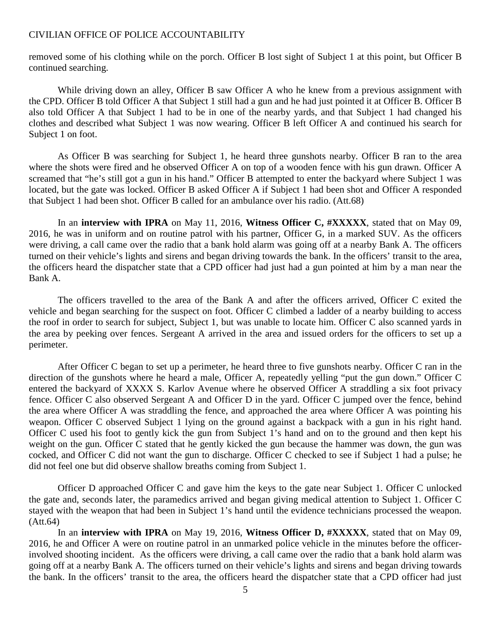removed some of his clothing while on the porch. Officer B lost sight of Subject 1 at this point, but Officer B continued searching.

While driving down an alley, Officer B saw Officer A who he knew from a previous assignment with the CPD. Officer B told Officer A that Subject 1 still had a gun and he had just pointed it at Officer B. Officer B also told Officer A that Subject 1 had to be in one of the nearby yards, and that Subject 1 had changed his clothes and described what Subject 1 was now wearing. Officer B left Officer A and continued his search for Subject 1 on foot.

As Officer B was searching for Subject 1, he heard three gunshots nearby. Officer B ran to the area where the shots were fired and he observed Officer A on top of a wooden fence with his gun drawn. Officer A screamed that "he's still got a gun in his hand." Officer B attempted to enter the backyard where Subject 1 was located, but the gate was locked. Officer B asked Officer A if Subject 1 had been shot and Officer A responded that Subject 1 had been shot. Officer B called for an ambulance over his radio. (Att.68)

In an **interview with IPRA** on May 11, 2016, **Witness Officer C, #XXXXX**, stated that on May 09, 2016, he was in uniform and on routine patrol with his partner, Officer G, in a marked SUV. As the officers were driving, a call came over the radio that a bank hold alarm was going off at a nearby Bank A. The officers turned on their vehicle's lights and sirens and began driving towards the bank. In the officers' transit to the area, the officers heard the dispatcher state that a CPD officer had just had a gun pointed at him by a man near the Bank A.

The officers travelled to the area of the Bank A and after the officers arrived, Officer C exited the vehicle and began searching for the suspect on foot. Officer C climbed a ladder of a nearby building to access the roof in order to search for subject, Subject 1, but was unable to locate him. Officer C also scanned yards in the area by peeking over fences. Sergeant A arrived in the area and issued orders for the officers to set up a perimeter.

After Officer C began to set up a perimeter, he heard three to five gunshots nearby. Officer C ran in the direction of the gunshots where he heard a male, Officer A, repeatedly yelling "put the gun down." Officer C entered the backyard of XXXX S. Karlov Avenue where he observed Officer A straddling a six foot privacy fence. Officer C also observed Sergeant A and Officer D in the yard. Officer C jumped over the fence, behind the area where Officer A was straddling the fence, and approached the area where Officer A was pointing his weapon. Officer C observed Subject 1 lying on the ground against a backpack with a gun in his right hand. Officer C used his foot to gently kick the gun from Subject 1's hand and on to the ground and then kept his weight on the gun. Officer C stated that he gently kicked the gun because the hammer was down, the gun was cocked, and Officer C did not want the gun to discharge. Officer C checked to see if Subject 1 had a pulse; he did not feel one but did observe shallow breaths coming from Subject 1.

Officer D approached Officer C and gave him the keys to the gate near Subject 1. Officer C unlocked the gate and, seconds later, the paramedics arrived and began giving medical attention to Subject 1. Officer C stayed with the weapon that had been in Subject 1's hand until the evidence technicians processed the weapon. (Att.64)

In an **interview with IPRA** on May 19, 2016, **Witness Officer D, #XXXXX**, stated that on May 09, 2016, he and Officer A were on routine patrol in an unmarked police vehicle in the minutes before the officerinvolved shooting incident. As the officers were driving, a call came over the radio that a bank hold alarm was going off at a nearby Bank A. The officers turned on their vehicle's lights and sirens and began driving towards the bank. In the officers' transit to the area, the officers heard the dispatcher state that a CPD officer had just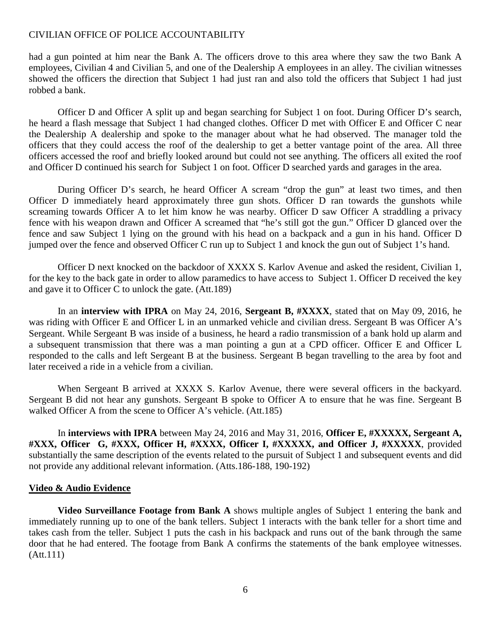had a gun pointed at him near the Bank A. The officers drove to this area where they saw the two Bank A employees, Civilian 4 and Civilian 5, and one of the Dealership A employees in an alley. The civilian witnesses showed the officers the direction that Subject 1 had just ran and also told the officers that Subject 1 had just robbed a bank.

Officer D and Officer A split up and began searching for Subject 1 on foot. During Officer D's search, he heard a flash message that Subject 1 had changed clothes. Officer D met with Officer E and Officer C near the Dealership A dealership and spoke to the manager about what he had observed. The manager told the officers that they could access the roof of the dealership to get a better vantage point of the area. All three officers accessed the roof and briefly looked around but could not see anything. The officers all exited the roof and Officer D continued his search for Subject 1 on foot. Officer D searched yards and garages in the area.

During Officer D's search, he heard Officer A scream "drop the gun" at least two times, and then Officer D immediately heard approximately three gun shots. Officer D ran towards the gunshots while screaming towards Officer A to let him know he was nearby. Officer D saw Officer A straddling a privacy fence with his weapon drawn and Officer A screamed that "he's still got the gun." Officer D glanced over the fence and saw Subject 1 lying on the ground with his head on a backpack and a gun in his hand. Officer D jumped over the fence and observed Officer C run up to Subject 1 and knock the gun out of Subject 1's hand.

Officer D next knocked on the backdoor of XXXX S. Karlov Avenue and asked the resident, Civilian 1, for the key to the back gate in order to allow paramedics to have access to Subject 1. Officer D received the key and gave it to Officer C to unlock the gate. (Att.189)

In an **interview with IPRA** on May 24, 2016, **Sergeant B, #XXXX**, stated that on May 09, 2016, he was riding with Officer E and Officer L in an unmarked vehicle and civilian dress. Sergeant B was Officer A's Sergeant. While Sergeant B was inside of a business, he heard a radio transmission of a bank hold up alarm and a subsequent transmission that there was a man pointing a gun at a CPD officer. Officer E and Officer L responded to the calls and left Sergeant B at the business. Sergeant B began travelling to the area by foot and later received a ride in a vehicle from a civilian.

When Sergeant B arrived at XXXX S. Karlov Avenue, there were several officers in the backyard. Sergeant B did not hear any gunshots. Sergeant B spoke to Officer A to ensure that he was fine. Sergeant B walked Officer A from the scene to Officer A's vehicle. (Att.185)

In **interviews with IPRA** between May 24, 2016 and May 31, 2016, **Officer E, #XXXXX, Sergeant A, #XXX, Officer G, #XXX, Officer H, #XXXX, Officer I, #XXXXX, and Officer J, #XXXXX**, provided substantially the same description of the events related to the pursuit of Subject 1 and subsequent events and did not provide any additional relevant information. (Atts.186-188, 190-192)

#### **Video & Audio Evidence**

**Video Surveillance Footage from Bank A** shows multiple angles of Subject 1 entering the bank and immediately running up to one of the bank tellers. Subject 1 interacts with the bank teller for a short time and takes cash from the teller. Subject 1 puts the cash in his backpack and runs out of the bank through the same door that he had entered. The footage from Bank A confirms the statements of the bank employee witnesses. (Att.111)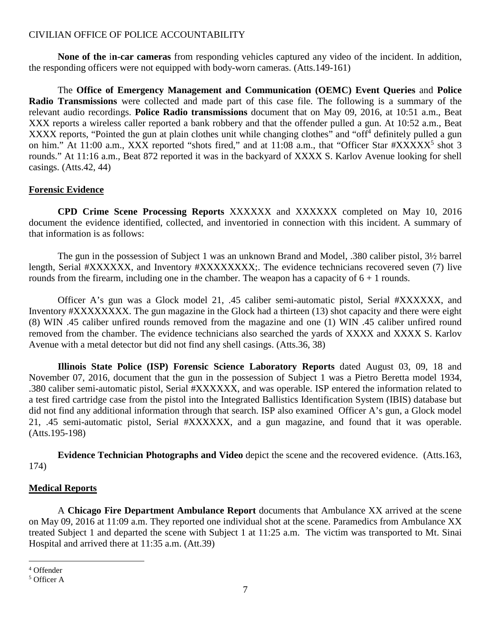**None of the** i**n-car cameras** from responding vehicles captured any video of the incident. In addition, the responding officers were not equipped with body-worn cameras. (Atts.149-161)

The **Office of Emergency Management and Communication (OEMC) Event Queries** and **Police Radio Transmissions** were collected and made part of this case file. The following is a summary of the relevant audio recordings. **Police Radio transmissions** document that on May 09, 2016, at 10:51 a.m., Beat XXX reports a wireless caller reported a bank robbery and that the offender pulled a gun. At 10:52 a.m., Beat XXXXreports, "Pointed the gun at plain clothes unit while changing clothes" and "o[f](#page-6-0)f<sup>4</sup> definitely pulled a gun on him." At 11:00 a.m., XXX reported "shots fired," and at 11:08 a.m., that "Officer Star #XXXXX<sup>[5](#page-6-1)</sup> shot 3 rounds." At 11:16 a.m., Beat 872 reported it was in the backyard of XXXX S. Karlov Avenue looking for shell casings. (Atts.42, 44)

### **Forensic Evidence**

**CPD Crime Scene Processing Reports** XXXXXX and XXXXXX completed on May 10, 2016 document the evidence identified, collected, and inventoried in connection with this incident. A summary of that information is as follows:

The gun in the possession of Subject 1 was an unknown Brand and Model, .380 caliber pistol, 3½ barrel length, Serial #XXXXXX, and Inventory #XXXXXXXX;. The evidence technicians recovered seven (7) live rounds from the firearm, including one in the chamber. The weapon has a capacity of  $6 + 1$  rounds.

Officer A's gun was a Glock model 21, .45 caliber semi-automatic pistol, Serial #XXXXXX, and Inventory #XXXXXXXX. The gun magazine in the Glock had a thirteen (13) shot capacity and there were eight (8) WIN .45 caliber unfired rounds removed from the magazine and one (1) WIN .45 caliber unfired round removed from the chamber. The evidence technicians also searched the yards of XXXX and XXXX S. Karlov Avenue with a metal detector but did not find any shell casings. (Atts.36, 38)

**Illinois State Police (ISP) Forensic Science Laboratory Reports** dated August 03, 09, 18 and November 07, 2016, document that the gun in the possession of Subject 1 was a Pietro Beretta model 1934, .380 caliber semi-automatic pistol, Serial #XXXXXX, and was operable. ISP entered the information related to a test fired cartridge case from the pistol into the Integrated Ballistics Identification System (IBIS) database but did not find any additional information through that search. ISP also examined Officer A's gun, a Glock model 21, .45 semi-automatic pistol, Serial #XXXXXX, and a gun magazine, and found that it was operable. (Atts.195-198)

**Evidence Technician Photographs and Video** depict the scene and the recovered evidence. (Atts.163, 174)

### **Medical Reports**

A **Chicago Fire Department Ambulance Report** documents that Ambulance XX arrived at the scene on May 09, 2016 at 11:09 a.m. They reported one individual shot at the scene. Paramedics from Ambulance XX treated Subject 1 and departed the scene with Subject 1 at 11:25 a.m. The victim was transported to Mt. Sinai Hospital and arrived there at 11:35 a.m. (Att.39)

<span id="page-6-0"></span><sup>4</sup> Offender

<span id="page-6-1"></span><sup>5</sup> Officer A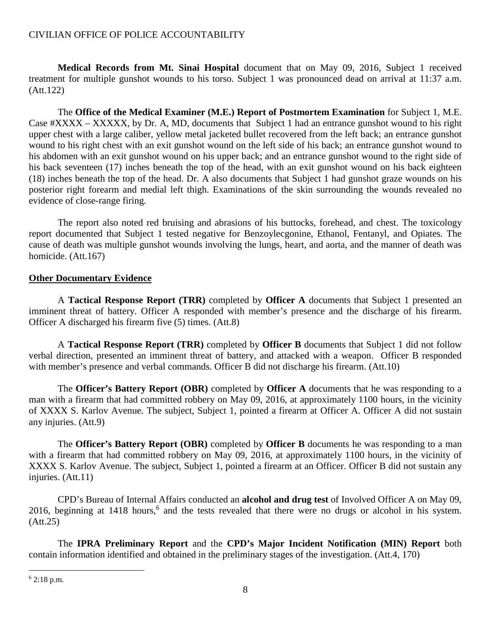**Medical Records from Mt. Sinai Hospital** document that on May 09, 2016, Subject 1 received treatment for multiple gunshot wounds to his torso. Subject 1 was pronounced dead on arrival at 11:37 a.m. (Att.122)

The **Office of the Medical Examiner (M.E.) Report of Postmortem Examination** for Subject 1, M.E. Case #XXXX – XXXXX, by Dr. A, MD, documents that Subject 1 had an entrance gunshot wound to his right upper chest with a large caliber, yellow metal jacketed bullet recovered from the left back; an entrance gunshot wound to his right chest with an exit gunshot wound on the left side of his back; an entrance gunshot wound to his abdomen with an exit gunshot wound on his upper back; and an entrance gunshot wound to the right side of his back seventeen (17) inches beneath the top of the head, with an exit gunshot wound on his back eighteen (18) inches beneath the top of the head. Dr. A also documents that Subject 1 had gunshot graze wounds on his posterior right forearm and medial left thigh. Examinations of the skin surrounding the wounds revealed no evidence of close-range firing.

The report also noted red bruising and abrasions of his buttocks, forehead, and chest. The toxicology report documented that Subject 1 tested negative for Benzoylecgonine, Ethanol, Fentanyl, and Opiates. The cause of death was multiple gunshot wounds involving the lungs, heart, and aorta, and the manner of death was homicide. (Att.167)

### **Other Documentary Evidence**

A **Tactical Response Report (TRR)** completed by **Officer A** documents that Subject 1 presented an imminent threat of battery. Officer A responded with member's presence and the discharge of his firearm. Officer A discharged his firearm five (5) times. (Att.8)

A **Tactical Response Report (TRR)** completed by **Officer B** documents that Subject 1 did not follow verbal direction, presented an imminent threat of battery, and attacked with a weapon. Officer B responded with member's presence and verbal commands. Officer B did not discharge his firearm. (Att.10)

The **Officer's Battery Report (OBR)** completed by **Officer A** documents that he was responding to a man with a firearm that had committed robbery on May 09, 2016, at approximately 1100 hours, in the vicinity of XXXX S. Karlov Avenue. The subject, Subject 1, pointed a firearm at Officer A. Officer A did not sustain any injuries. (Att.9)

The **Officer's Battery Report (OBR)** completed by **Officer B** documents he was responding to a man with a firearm that had committed robbery on May 09, 2016, at approximately 1100 hours, in the vicinity of XXXX S. Karlov Avenue. The subject, Subject 1, pointed a firearm at an Officer. Officer B did not sustain any injuries. (Att.11)

CPD's Bureau of Internal Affairs conducted an **alcohol and drug test** of Involved Officer A on May 09, 201[6](#page-7-0), beginning at 1418 hours,<sup>6</sup> and the tests revealed that there were no drugs or alcohol in his system. (Att.25)

The **IPRA Preliminary Report** and the **CPD's Major Incident Notification (MIN) Report** both contain information identified and obtained in the preliminary stages of the investigation. (Att.4, 170)

<span id="page-7-0"></span> $6$  2:18 p.m.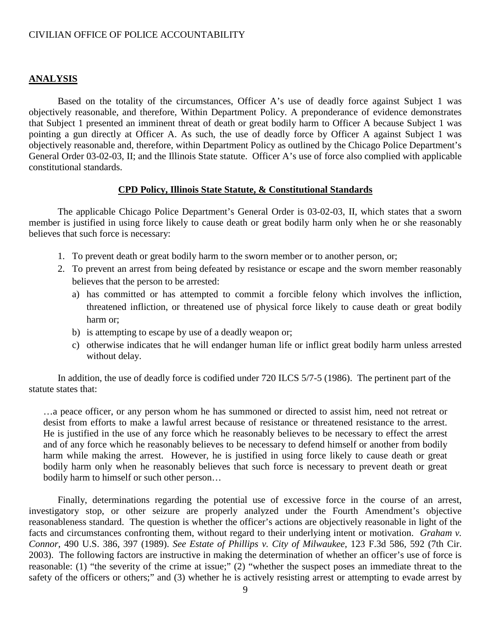#### **ANALYSIS**

Based on the totality of the circumstances, Officer A's use of deadly force against Subject 1 was objectively reasonable, and therefore, Within Department Policy. A preponderance of evidence demonstrates that Subject 1 presented an imminent threat of death or great bodily harm to Officer A because Subject 1 was pointing a gun directly at Officer A. As such, the use of deadly force by Officer A against Subject 1 was objectively reasonable and, therefore, within Department Policy as outlined by the Chicago Police Department's General Order 03-02-03, II; and the Illinois State statute. Officer A's use of force also complied with applicable constitutional standards.

#### **CPD Policy, Illinois State Statute, & Constitutional Standards**

The applicable Chicago Police Department's General Order is 03-02-03, II, which states that a sworn member is justified in using force likely to cause death or great bodily harm only when he or she reasonably believes that such force is necessary:

- 1. To prevent death or great bodily harm to the sworn member or to another person, or;
- 2. To prevent an arrest from being defeated by resistance or escape and the sworn member reasonably believes that the person to be arrested:
	- a) has committed or has attempted to commit a forcible felony which involves the infliction, threatened infliction, or threatened use of physical force likely to cause death or great bodily harm or;
	- b) is attempting to escape by use of a deadly weapon or;
	- c) otherwise indicates that he will endanger human life or inflict great bodily harm unless arrested without delay.

In addition, the use of deadly force is codified under 720 ILCS 5/7-5 (1986). The pertinent part of the statute states that:

…a peace officer, or any person whom he has summoned or directed to assist him, need not retreat or desist from efforts to make a lawful arrest because of resistance or threatened resistance to the arrest. He is justified in the use of any force which he reasonably believes to be necessary to effect the arrest and of any force which he reasonably believes to be necessary to defend himself or another from bodily harm while making the arrest. However, he is justified in using force likely to cause death or great bodily harm only when he reasonably believes that such force is necessary to prevent death or great bodily harm to himself or such other person…

Finally, determinations regarding the potential use of excessive force in the course of an arrest, investigatory stop, or other seizure are properly analyzed under the Fourth Amendment's objective reasonableness standard. The question is whether the officer's actions are objectively reasonable in light of the facts and circumstances confronting them, without regard to their underlying intent or motivation. *Graham v. Connor*, 490 U.S. 386, 397 (1989). *See Estate of Phillips v. City of Milwaukee*, 123 F.3d 586, 592 (7th Cir. 2003). The following factors are instructive in making the determination of whether an officer's use of force is reasonable: (1) "the severity of the crime at issue;" (2) "whether the suspect poses an immediate threat to the safety of the officers or others;" and (3) whether he is actively resisting arrest or attempting to evade arrest by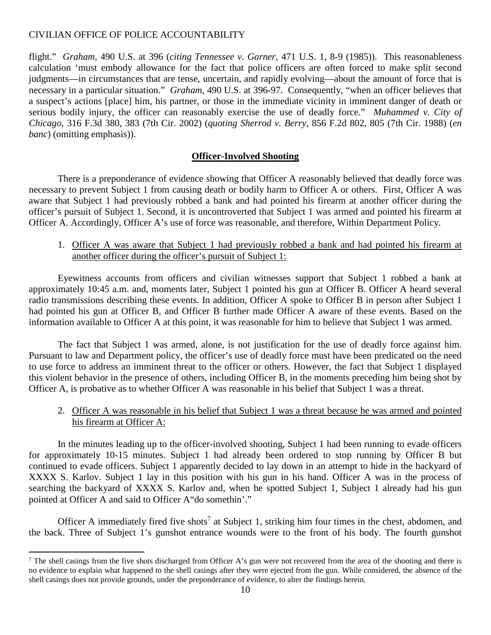flight." *Graham*, 490 U.S. at 396 (*citing Tennessee v. Garner*, 471 U.S. 1, 8-9 (1985)). This reasonableness calculation 'must embody allowance for the fact that police officers are often forced to make split second judgments—in circumstances that are tense, uncertain, and rapidly evolving—about the amount of force that is necessary in a particular situation." *Graham*, 490 U.S. at 396-97. Consequently, "when an officer believes that a suspect's actions [place] him, his partner, or those in the immediate vicinity in imminent danger of death or serious bodily injury, the officer can reasonably exercise the use of deadly force." *Muhammed v. City of Chicago*, 316 F.3d 380, 383 (7th Cir. 2002) (*quoting Sherrod v. Berry*, 856 F.2d 802, 805 (7th Cir. 1988) (*en banc*) (omitting emphasis)).

### **Officer-Involved Shooting**

There is a preponderance of evidence showing that Officer A reasonably believed that deadly force was necessary to prevent Subject 1 from causing death or bodily harm to Officer A or others. First, Officer A was aware that Subject 1 had previously robbed a bank and had pointed his firearm at another officer during the officer's pursuit of Subject 1. Second, it is uncontroverted that Subject 1 was armed and pointed his firearm at Officer A. Accordingly, Officer A's use of force was reasonable, and therefore, Within Department Policy.

1. Officer A was aware that Subject 1 had previously robbed a bank and had pointed his firearm at another officer during the officer's pursuit of Subject 1:

Eyewitness accounts from officers and civilian witnesses support that Subject 1 robbed a bank at approximately 10:45 a.m. and, moments later, Subject 1 pointed his gun at Officer B. Officer A heard several radio transmissions describing these events. In addition, Officer A spoke to Officer B in person after Subject 1 had pointed his gun at Officer B, and Officer B further made Officer A aware of these events. Based on the information available to Officer A at this point, it was reasonable for him to believe that Subject 1 was armed.

The fact that Subject 1 was armed, alone, is not justification for the use of deadly force against him. Pursuant to law and Department policy, the officer's use of deadly force must have been predicated on the need to use force to address an imminent threat to the officer or others. However, the fact that Subject 1 displayed this violent behavior in the presence of others, including Officer B, in the moments preceding him being shot by Officer A, is probative as to whether Officer A was reasonable in his belief that Subject 1 was a threat.

### 2. Officer A was reasonable in his belief that Subject 1 was a threat because he was armed and pointed his firearm at Officer A:

In the minutes leading up to the officer-involved shooting, Subject 1 had been running to evade officers for approximately 10-15 minutes. Subject 1 had already been ordered to stop running by Officer B but continued to evade officers. Subject 1 apparently decided to lay down in an attempt to hide in the backyard of XXXX S. Karlov. Subject 1 lay in this position with his gun in his hand. Officer A was in the process of searching the backyard of XXXX S. Karlov and, when he spotted Subject 1, Subject 1 already had his gun pointed at Officer A and said to Officer A"do somethin'."

Officer A immediately fired five shots<sup>[7](#page-9-0)</sup> at Subject 1, striking him four times in the chest, abdomen, and the back. Three of Subject 1's gunshot entrance wounds were to the front of his body. The fourth gunshot

<span id="page-9-0"></span><sup>&</sup>lt;sup>7</sup> The shell casings from the five shots discharged from Officer A's gun were not recovered from the area of the shooting and there is no evidence to explain what happened to the shell casings after they were ejected from the gun. While considered, the absence of the shell casings does not provide grounds, under the preponderance of evidence, to alter the findings herein.